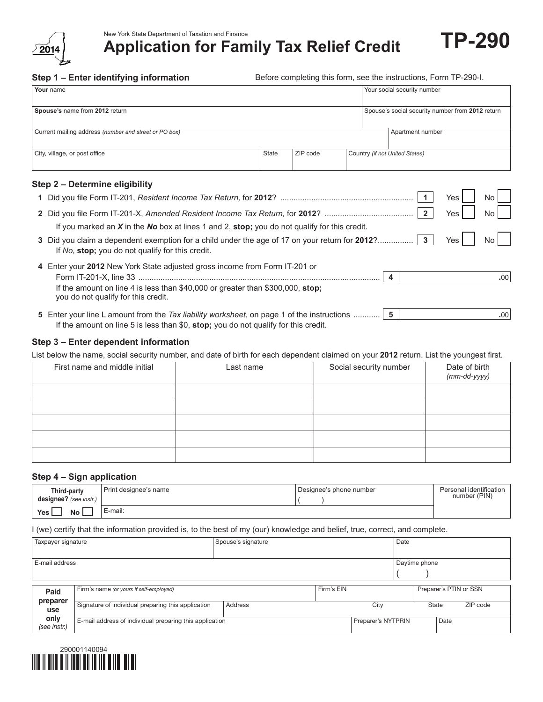

New York State Department of Taxation and Finance<br>Application for Family Tax Relief Credit **TP-290** 

**Step 1 – Enter identifying information**

Before completing this form, see the instructions, Form TP-290-I.

| Your name                                                                                                                                          |       |          |                                | Your social security number |                                                  |                  |  |
|----------------------------------------------------------------------------------------------------------------------------------------------------|-------|----------|--------------------------------|-----------------------------|--------------------------------------------------|------------------|--|
| Spouse's name from 2012 return                                                                                                                     |       |          |                                |                             | Spouse's social security number from 2012 return |                  |  |
| Current mailing address (number and street or PO box)                                                                                              |       |          |                                | Apartment number            |                                                  |                  |  |
| City, village, or post office                                                                                                                      | State | ZIP code | Country (if not United States) |                             |                                                  |                  |  |
| Step 2 - Determine eligibility                                                                                                                     |       |          |                                |                             |                                                  |                  |  |
|                                                                                                                                                    |       |          |                                |                             | Yes<br>No                                        |                  |  |
| $\overline{2}$<br>Yes<br>No<br>If you marked an $X$ in the No box at lines 1 and 2, stop; you do not qualify for this credit.                      |       |          |                                |                             |                                                  |                  |  |
| 3 Did you claim a dependent exemption for a child under the age of 17 on your return for 2012?<br>If No, stop; you do not qualify for this credit. |       |          |                                | $\mathbf{3}$                | Yes<br>No                                        |                  |  |
| 4 Enter your 2012 New York State adjusted gross income from Form IT-201 or                                                                         |       |          |                                | 4                           |                                                  | .00 <sub>1</sub> |  |
| If the amount on line 4 is less than \$40,000 or greater than \$300,000, stop;<br>you do not qualify for this credit.                              |       |          |                                |                             |                                                  |                  |  |

**5** Enter your line L amount from the *Tax liability worksheet*, on page 1 of the instructions ............ **5 .**00 If the amount on line 5 is less than \$0, **stop;** you do not qualify for this credit.

#### **Step 3 – Enter dependent information**

List below the name, social security number, and date of birth for each dependent claimed on your **2012** return. List the youngest first.

| First name and middle initial | Last name | Social security number | Date of birth<br>$(mm$ -dd-yyyy) |
|-------------------------------|-----------|------------------------|----------------------------------|
|                               |           |                        |                                  |
|                               |           |                        |                                  |
|                               |           |                        |                                  |
|                               |           |                        |                                  |
|                               |           |                        |                                  |

#### **Step 4 – Sign application**

| Third-party<br>designee? (see instr.) | Print designee's name | Designee's phone number | Personal identification<br>number (PIN) |
|---------------------------------------|-----------------------|-------------------------|-----------------------------------------|
| No<br>Yes,                            | E-mail:               |                         |                                         |

I (we) certify that the information provided is, to the best of my (our) knowledge and belief, true, correct, and complete.

| Taxpayer signature   |                                                         | Spouse's signature |            | Date               |               |                        |          |
|----------------------|---------------------------------------------------------|--------------------|------------|--------------------|---------------|------------------------|----------|
| E-mail address       |                                                         |                    |            |                    | Daytime phone |                        |          |
| Paid                 | Firm's name (or yours if self-employed)                 |                    | Firm's EIN |                    |               | Preparer's PTIN or SSN |          |
| preparer<br>use      | Signature of individual preparing this application      | Address            |            | City               | <b>State</b>  |                        | ZIP code |
| only<br>(see instr.) | E-mail address of individual preparing this application |                    |            | Preparer's NYTPRIN |               | Date                   |          |

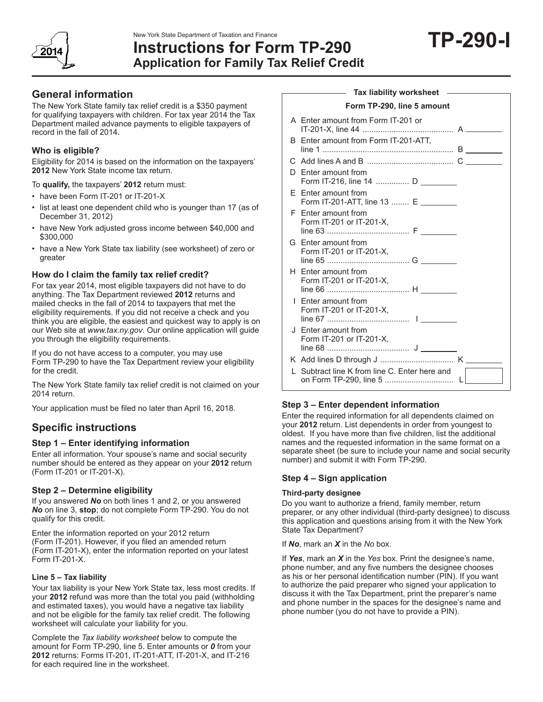



# **Instructions for Form TP-290 Application for Family Tax Relief Credit**

**General information** 

The New York State family tax relief credit is a \$350 payment for qualifying taxpayers with children. For tax year 2014 the Tax Department mailed advance payments to eligible taxpayers of record in the fall of 2014.

## **Who is eligible?**

Eligibility for 2014 is based on the information on the taxpayers' **2012** New York State income tax return.

To **qualify,** the taxpayers' **2012** return must:

- have been Form IT-201 or IT-201-X
- list at least one dependent child who is younger than 17 (as of December 31, 2012)
- have New York adjusted gross income between \$40,000 and \$300,000
- have a New York State tax liability (see worksheet) of zero or greater

## **How do I claim the family tax relief credit?**

For tax year 2014, most eligible taxpayers did not have to do anything. The Tax Department reviewed **2012** returns and mailed checks in the fall of 2014 to taxpayers that met the eligibility requirements. If you did not receive a check and you think you are eligible, the easiest and quickest way to apply is on our Web site at *www.tax.ny.gov*. Our online application will guide you through the eligibility requirements.

If you do not have access to a computer, you may use Form TP-290 to have the Tax Department review your eligibility for the credit.

The New York State family tax relief credit is not claimed on your 2014 return.

Your application must be filed no later than April 16, 2018.

# **Specific instructions**

# **Step 1 – Enter identifying information**

Enter all information. Your spouse's name and social security number should be entered as they appear on your **2012** return (Form IT-201 or IT-201-X).

# **Step 2 – Determine eligibility**

If you answered *No* on both lines 1 and 2, or you answered *No* on line 3, **stop**; do not complete Form TP-290. You do not qualify for this credit.

Enter the information reported on your 2012 return (Form IT-201). However, if you filed an amended return (Form IT-201-X), enter the information reported on your latest Form IT-201-X.

### **Line 5 – Tax liability**

Your tax liability is your New York State tax, less most credits. If your **2012** refund was more than the total you paid (withholding and estimated taxes), you would have a negative tax liability and not be eligible for the family tax relief credit. The following worksheet will calculate your liability for you.

Complete the *Tax liability worksheet* below to compute the amount for Form TP-290, line 5. Enter amounts or *0* from your **2012** returns: Forms IT-201, IT-201-ATT, IT-201-X, and IT-216 for each required line in the worksheet.

| Tax liability worksheet    |                                                           |                     |  |  |
|----------------------------|-----------------------------------------------------------|---------------------|--|--|
| Form TP-290, line 5 amount |                                                           |                     |  |  |
|                            | A Enter amount from Form IT-201 or                        |                     |  |  |
| B                          | Enter amount from Form IT-201-ATT.                        |                     |  |  |
| С                          |                                                           | <u> a shekara t</u> |  |  |
| D.                         | Enter amount from<br>Form IT-216, line 14  D              |                     |  |  |
| F                          | Enter amount from<br>Form IT-201-ATT, line 13  E ________ |                     |  |  |
| F                          | Enter amount from<br>Form IT-201 or IT-201-X,             |                     |  |  |
|                            | G Enter amount from<br>Form IT-201 or IT-201-X,           |                     |  |  |
|                            | H Enter amount from<br>Form IT-201 or IT-201-X,           |                     |  |  |
|                            | I Enter amount from<br>Form IT-201 or IT-201-X.           |                     |  |  |
|                            | J Enter amount from<br>Form IT-201 or IT-201-X,           |                     |  |  |
|                            |                                                           |                     |  |  |
| $\mathbf{L}$               | Subtract line K from line C. Enter here and               |                     |  |  |
|                            |                                                           |                     |  |  |

# **Step 3 – Enter dependent information**

Enter the required information for all dependents claimed on your **2012** return. List dependents in order from youngest to oldest. If you have more than five children, list the additional names and the requested information in the same format on a separate sheet (be sure to include your name and social security number) and submit it with Form TP-290.

### **Step 4 – Sign application**

### **Third-party designee**

Do you want to authorize a friend, family member, return preparer, or any other individual (third-party designee) to discuss this application and questions arising from it with the New York State Tax Department?

If *No*, mark an *X* in the *No* box.

If *Yes*, mark an *X* in the *Yes* box. Print the designee's name, phone number, and any five numbers the designee chooses as his or her personal identification number (PIN). If you want to authorize the paid preparer who signed your application to discuss it with the Tax Department, print the preparer's name and phone number in the spaces for the designee's name and phone number (you do not have to provide a PIN).